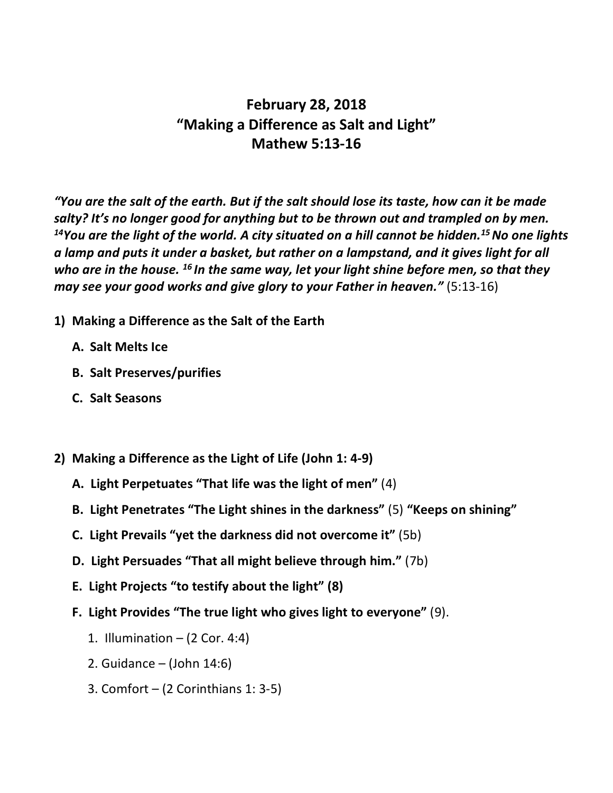## **February 28, 2018 "Making a Difference as Salt and Light" Mathew 5:13-16**

*"You are the salt of the earth. But if the salt should lose its taste, how can it be made salty? It's no longer good for anything but to be thrown out and trampled on by men.*  <sup>14</sup>You are the light of the world. A city situated on a hill cannot be hidden.<sup>15</sup> No one lights *a lamp and puts it under a basket, but rather on a lampstand, and it gives light for all who are in the house. <sup>16</sup> In the same way, let your light shine before men, so that they may see your good works and give glory to your Father in heaven."* (5:13-16)

- **1) Making a Difference as the Salt of the Earth**
	- **A. Salt Melts Ice**
	- **B. Salt Preserves/purifies**
	- **C. Salt Seasons**
- **2) Making a Difference as the Light of Life (John 1: 4-9)**
	- **A. Light Perpetuates "That life was the light of men"** (4)
	- **B. Light Penetrates "The Light shines in the darkness"** (5) **"Keeps on shining"**
	- **C. Light Prevails "yet the darkness did not overcome it"** (5b)
	- **D. Light Persuades "That all might believe through him."** (7b)
	- **E. Light Projects "to testify about the light" (8)**
	- **F. Light Provides "The true light who gives light to everyone"** (9).
		- 1. Illumination  $-$  (2 Cor. 4:4)
		- 2. Guidance (John 14:6)
		- 3. Comfort  $-$  (2 Corinthians 1: 3-5)